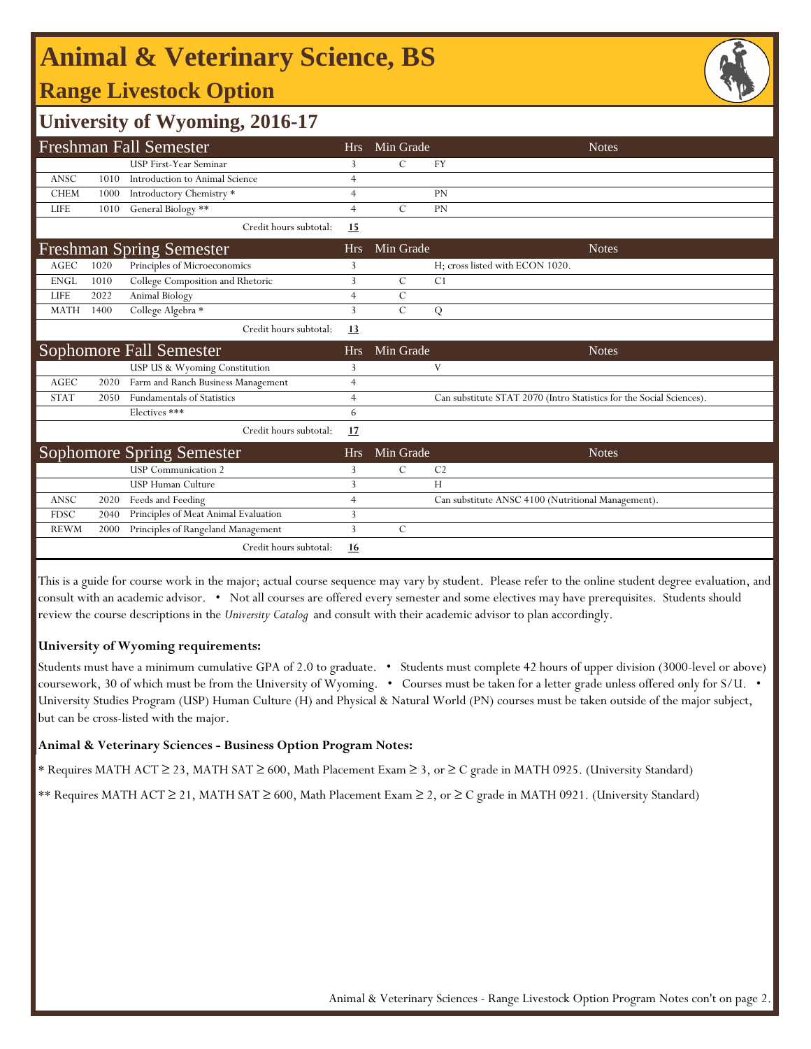# **Animal & Veterinary Science, BS**

### **Range Livestock Option**



### **University of Wyoming, 2016-17**

|                                 |      | <b>Freshman Fall Semester</b>        | <b>Hrs</b>     | Min Grade     | <b>Notes</b>                                                         |
|---------------------------------|------|--------------------------------------|----------------|---------------|----------------------------------------------------------------------|
|                                 |      | <b>USP First-Year Seminar</b>        | 3              | $\mathcal{C}$ | <b>FY</b>                                                            |
| <b>ANSC</b>                     | 1010 | Introduction to Animal Science       | 4              |               |                                                                      |
| <b>CHEM</b>                     | 1000 | Introductory Chemistry *             | $\overline{4}$ |               | <b>PN</b>                                                            |
| <b>LIFE</b>                     | 1010 | General Biology **                   | $\overline{4}$ | $\mathcal{C}$ | PN                                                                   |
|                                 |      | Credit hours subtotal:               | <b>15</b>      |               |                                                                      |
| <b>Freshman Spring Semester</b> |      |                                      |                | Min Grade     | <b>Notes</b>                                                         |
| AGEC                            | 1020 | Principles of Microeconomics         | 3              |               | H; cross listed with ECON 1020.                                      |
| <b>ENGL</b>                     | 1010 | College Composition and Rhetoric     | 3              | $\mathcal{C}$ | C1                                                                   |
| LIFE                            | 2022 | Animal Biology                       | 4              | $\mathcal{C}$ |                                                                      |
| <b>MATH</b>                     | 1400 | College Algebra *                    | 3              | $\mathcal{C}$ | Q                                                                    |
|                                 |      | Credit hours subtotal:               | 13             |               |                                                                      |
|                                 |      | Sophomore Fall Semester              | <b>Hrs</b>     | Min Grade     | <b>Notes</b>                                                         |
|                                 |      | USP US & Wyoming Constitution        | 3              |               | V                                                                    |
| <b>AGEC</b>                     | 2020 | Farm and Ranch Business Management   | $\overline{4}$ |               |                                                                      |
| <b>STAT</b>                     | 2050 | <b>Fundamentals of Statistics</b>    | $\overline{4}$ |               | Can substitute STAT 2070 (Intro Statistics for the Social Sciences). |
|                                 |      | Electives ***                        | 6              |               |                                                                      |
|                                 |      | Credit hours subtotal:               | 17             |               |                                                                      |
| Sophomore Spring Semester       |      |                                      |                | Min Grade     | <b>Notes</b>                                                         |
|                                 |      | <b>USP</b> Communication 2           | 3              | C             | C <sub>2</sub>                                                       |
|                                 |      | <b>USP Human Culture</b>             | 3              |               | H                                                                    |
| ANSC                            | 2020 | Feeds and Feeding                    | $\overline{4}$ |               | Can substitute ANSC 4100 (Nutritional Management).                   |
| <b>FDSC</b>                     | 2040 | Principles of Meat Animal Evaluation | 3              |               |                                                                      |
| <b>REWM</b>                     | 2000 | Principles of Rangeland Management   | 3              | $\mathcal{C}$ |                                                                      |
|                                 |      | Credit hours subtotal:               | <u>16</u>      |               |                                                                      |

This is a guide for course work in the major; actual course sequence may vary by student. Please refer to the online student degree evaluation, and consult with an academic advisor. • Not all courses are offered every semester and some electives may have prerequisites. Students should review the course descriptions in the *University Catalog* and consult with their academic advisor to plan accordingly.

#### **University of Wyoming requirements:**

Students must have a minimum cumulative GPA of 2.0 to graduate. • Students must complete 42 hours of upper division (3000-level or above) coursework, 30 of which must be from the University of Wyoming. • Courses must be taken for a letter grade unless offered only for S/U. • University Studies Program (USP) Human Culture (H) and Physical & Natural World (PN) courses must be taken outside of the major subject, but can be cross-listed with the major.

#### **Animal & Veterinary Sciences - Business Option Program Notes:**

\* Requires MATH ACT ≥ 23, MATH SAT ≥ 600, Math Placement Exam ≥ 3, or ≥ C grade in MATH 0925. (University Standard)

\*\* Requires MATH ACT ≥ 21, MATH SAT ≥ 600, Math Placement Exam ≥ 2, or ≥ C grade in MATH 0921. (University Standard)